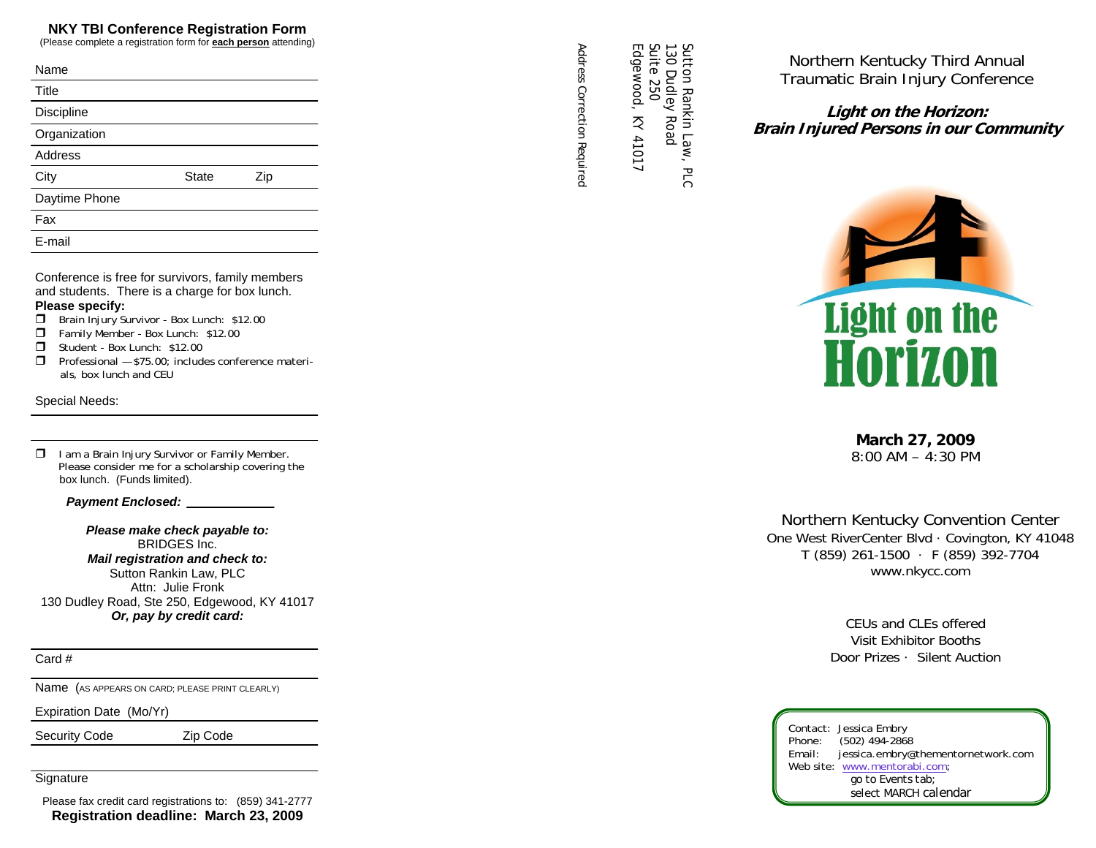### **NKY TBI Conference Registration Form**

(Please complete a registration form for **each person** attending)

| Name              |              |     |
|-------------------|--------------|-----|
| Title             |              |     |
| <b>Discipline</b> |              |     |
| Organization      |              |     |
| <b>Address</b>    |              |     |
| City              | <b>State</b> | Zip |
| Daytime Phone     |              |     |
| Fax               |              |     |
| E-mail            |              |     |
|                   |              |     |

Conference is free for survivors, family members and students. There is a charge for box lunch.

#### **Please specify:**

- **Brain Injury Survivor Box Lunch: \$12.00**
- Family Member Box Lunch: \$12.00
- Student Box Lunch: \$12.00
- $\Box$  Professional \$75.00; includes conference materials, box lunch and CEU

#### Special Needs:

 $\Box$  I am a Brain Injury Survivor or Family Member. Please consider me for a scholarship covering the box lunch. (Funds limited).

 *Payment Enclosed:* 

*Please make check payable to:*  BRIDGES Inc. *Mail registration and check to:*  Sutton Rankin Law, PLC Attn: Julie Fronk 130 Dudley Road, Ste 250, Edgewood, KY 41017 *Or, pay by credit card:* 

Card #

Name (AS APPEARS ON CARD; PLEASE PRINT CLEARLY)

Expiration Date (Mo/Yr)

Security Code **Zip Code** 

**Signature** 

Please fax credit card registrations to: (859) 341-2777 **Registration deadline: March 23, 2009** 

Address Correction Requirec *Address Correction Required*  Sutton Rankin Law, PLC

Edgewood, KY 41017 Sutton Rankin Law, PLC<br>130 Dudley Road<br>Suite 250<br>Edgewood, KY 41017 130 Dudley Road

Northern Kentucky Third Annual Traumatic Brain Injury Conference

**Light on the Horizon: Brain Injured Persons in our Community** 



**March 27, 2009**  8:00 AM – 4:30 PM

Northern Kentucky Convention Center One West RiverCenter Blvd · Covington, KY 41048 T (859) 261-1500 · F (859) 392-7704 www.nkycc.com

> CEUs and CLEs offered Visit Exhibitor Booths Door Prizes · Silent Auction

Contact: Jessica Embry<br>Phone: (502) 494-2868 (502) 494-2868 Email: jessica.embry@thementornetwork.com Web site: www.mentorabi.com;  *go to Events tab; select MARCH calendar*